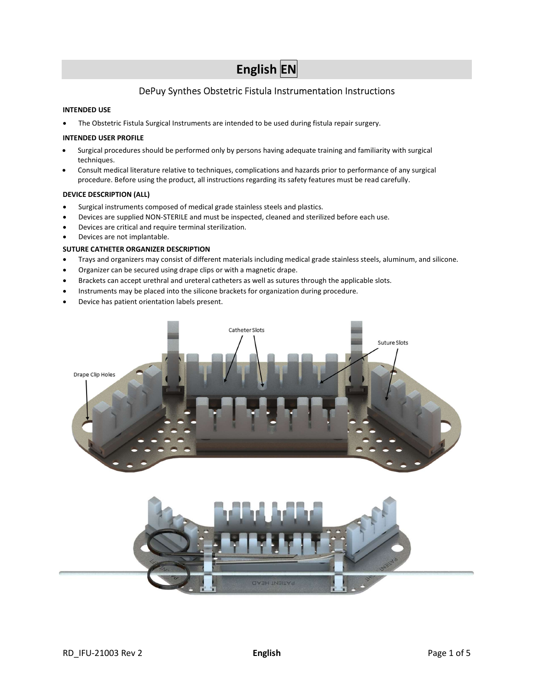# English EN

# DePuy Synthes Obstetric Fistula Instrumentation Instructions

# INTENDED USE

The Obstetric Fistula Surgical Instruments are intended to be used during fistula repair surgery.

#### INTENDED USER PROFILE

- Surgical procedures should be performed only by persons having adequate training and familiarity with surgical techniques.
- Consult medical literature relative to techniques, complications and hazards prior to performance of any surgical procedure. Before using the product, all instructions regarding its safety features must be read carefully.

#### DEVICE DESCRIPTION (ALL)

- Surgical instruments composed of medical grade stainless steels and plastics.
- Devices are supplied NON-STERILE and must be inspected, cleaned and sterilized before each use.
- Devices are critical and require terminal sterilization.
- Devices are not implantable.

# SUTURE CATHETER ORGANIZER DESCRIPTION

- Trays and organizers may consist of different materials including medical grade stainless steels, aluminum, and silicone.
- Organizer can be secured using drape clips or with a magnetic drape.
- Brackets can accept urethral and ureteral catheters as well as sutures through the applicable slots.
- Instruments may be placed into the silicone brackets for organization during procedure.
- Device has patient orientation labels present.

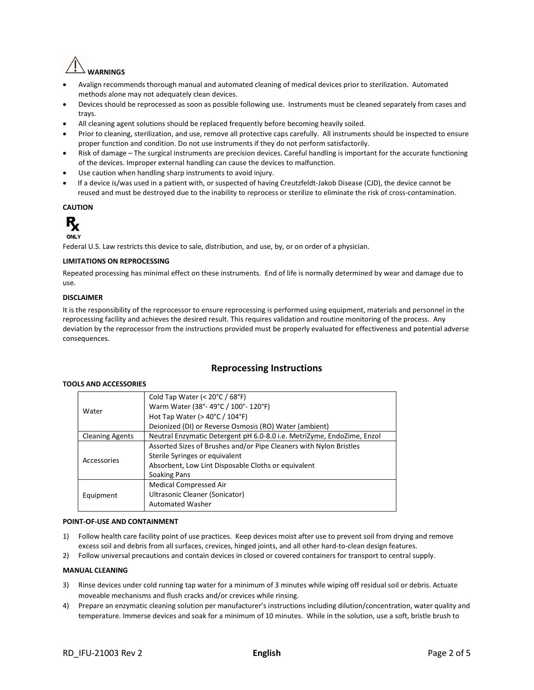

- Avalign recommends thorough manual and automated cleaning of medical devices prior to sterilization. Automated methods alone may not adequately clean devices.
- Devices should be reprocessed as soon as possible following use. Instruments must be cleaned separately from cases and trays.
- All cleaning agent solutions should be replaced frequently before becoming heavily soiled.
- Prior to cleaning, sterilization, and use, remove all protective caps carefully. All instruments should be inspected to ensure proper function and condition. Do not use instruments if they do not perform satisfactorily.
- Risk of damage The surgical instruments are precision devices. Careful handling is important for the accurate functioning of the devices. Improper external handling can cause the devices to malfunction.
- Use caution when handling sharp instruments to avoid injury.
- If a device is/was used in a patient with, or suspected of having Creutzfeldt-Jakob Disease (CJD), the device cannot be reused and must be destroyed due to the inability to reprocess or sterilize to eliminate the risk of cross-contamination.

## CAUTION



Federal U.S. Law restricts this device to sale, distribution, and use, by, or on order of a physician.

#### LIMITATIONS ON REPROCESSING

Repeated processing has minimal effect on these instruments. End of life is normally determined by wear and damage due to use.

#### DISCLAIMER

It is the responsibility of the reprocessor to ensure reprocessing is performed using equipment, materials and personnel in the reprocessing facility and achieves the desired result. This requires validation and routine monitoring of the process. Any deviation by the reprocessor from the instructions provided must be properly evaluated for effectiveness and potential adverse consequences.

# Reprocessing Instructions

#### TOOLS AND ACCESSORIES

|                        | Cold Tap Water (< $20^{\circ}$ C / $68^{\circ}$ F)                     |
|------------------------|------------------------------------------------------------------------|
| Water                  | Warm Water (38°-49°C / 100°-120°F)                                     |
|                        | Hot Tap Water ( $>$ 40 $\degree$ C / 104 $\degree$ F)                  |
|                        | Deionized (DI) or Reverse Osmosis (RO) Water (ambient)                 |
| <b>Cleaning Agents</b> | Neutral Enzymatic Detergent pH 6.0-8.0 i.e. MetriZyme, EndoZime, Enzol |
| Accessories            | Assorted Sizes of Brushes and/or Pipe Cleaners with Nylon Bristles     |
|                        | Sterile Syringes or equivalent                                         |
|                        | Absorbent, Low Lint Disposable Cloths or equivalent                    |
|                        | Soaking Pans                                                           |
| Equipment              | <b>Medical Compressed Air</b>                                          |
|                        | Ultrasonic Cleaner (Sonicator)                                         |
|                        | <b>Automated Washer</b>                                                |

#### POINT-OF-USE AND CONTAINMENT

- 1) Follow health care facility point of use practices. Keep devices moist after use to prevent soil from drying and remove excess soil and debris from all surfaces, crevices, hinged joints, and all other hard-to-clean design features.
- 2) Follow universal precautions and contain devices in closed or covered containers for transport to central supply.

#### MANUAL CLEANING

- 3) Rinse devices under cold running tap water for a minimum of 3 minutes while wiping off residual soil or debris. Actuate moveable mechanisms and flush cracks and/or crevices while rinsing.
- 4) Prepare an enzymatic cleaning solution per manufacturer's instructions including dilution/concentration, water quality and temperature. Immerse devices and soak for a minimum of 10 minutes. While in the solution, use a soft, bristle brush to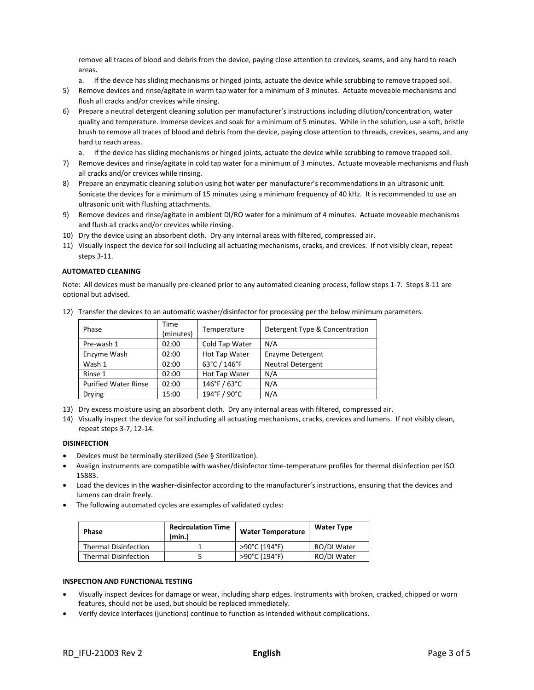remove all traces of blood and debris from the device, paying close attention to crevices, seams, and any hard to reach areas.

- a. If the device has sliding mechanisms or hinged joints, actuate the device while scrubbing to remove trapped soil.
- 5) Remove devices and rinse/agitate in warm tap water for a minimum of 3 minutes. Actuate moveable mechanisms and flush all cracks and/or crevices while rinsing.
- 6) Prepare a neutral detergent cleaning solution per manufacturer's instructions including dilution/concentration, water quality and temperature. Immerse devices and soak for a minimum of 5 minutes. While in the solution, use a soft, bristle brush to remove all traces of blood and debris from the device, paying close attention to threads, crevices, seams, and any hard to reach areas.
	- a. If the device has sliding mechanisms or hinged joints, actuate the device while scrubbing to remove trapped soil.
- 7) Remove devices and rinse/agitate in cold tap water for a minimum of 3 minutes. Actuate moveable mechanisms and flush all cracks and/or crevices while rinsing.
- 8) Prepare an enzymatic cleaning solution using hot water per manufacturer's recommendations in an ultrasonic unit. Sonicate the devices for a minimum of 15 minutes using a minimum frequency of 40 kHz. It is recommended to use an ultrasonic unit with flushing attachments.
- 9) Remove devices and rinse/agitate in ambient DI/RO water for a minimum of 4 minutes. Actuate moveable mechanisms and flush all cracks and/or crevices while rinsing.
- 10) Dry the device using an absorbent cloth. Dry any internal areas with filtered, compressed air.
- 11) Visually inspect the device for soil including all actuating mechanisms, cracks, and crevices. If not visibly clean, repeat steps 3-11.

#### AUTOMATED CLEANING

Note: All devices must be manually pre-cleaned prior to any automated cleaning process, follow steps 1-7. Steps 8-11 are optional but advised.

| Phase                       | Time<br>(minutes) | Temperature    | Detergent Type & Concentration |
|-----------------------------|-------------------|----------------|--------------------------------|
| Pre-wash 1                  | 02:00             | Cold Tap Water | N/A                            |
| Enzyme Wash                 | 02:00             | Hot Tap Water  | <b>Enzyme Detergent</b>        |
| Wash 1                      | 02:00             | 63°C / 146°F   | <b>Neutral Detergent</b>       |
| Rinse 1                     | 02:00             | Hot Tap Water  | N/A                            |
| <b>Purified Water Rinse</b> | 02:00             | 146°F / 63°C   | N/A                            |
| <b>Drying</b>               | 15:00             | 194°F / 90°C   | N/A                            |

12) Transfer the devices to an automatic washer/disinfector for processing per the below minimum parameters.

13) Dry excess moisture using an absorbent cloth. Dry any internal areas with filtered, compressed air.

14) Visually inspect the device for soil including all actuating mechanisms, cracks, crevices and lumens. If not visibly clean, repeat steps 3-7, 12-14.

#### DISINFECTION

- Devices must be terminally sterilized (See § Sterilization).
- Avalign instruments are compatible with washer/disinfector time-temperature profiles for thermal disinfection per ISO 15883.
- Load the devices in the washer-disinfector according to the manufacturer's instructions, ensuring that the devices and lumens can drain freely.
- The following automated cycles are examples of validated cycles:

| <b>Phase</b>                | <b>Recirculation Time</b><br>(min.) | <b>Water Temperature</b> | <b>Water Type</b> |
|-----------------------------|-------------------------------------|--------------------------|-------------------|
| <b>Thermal Disinfection</b> |                                     | >90°C (194°F)            | RO/DI Water       |
| <b>Thermal Disinfection</b> |                                     | >90°C (194°F)            | RO/DI Water       |

#### INSPECTION AND FUNCTIONAL TESTING

- Visually inspect devices for damage or wear, including sharp edges. Instruments with broken, cracked, chipped or worn features, should not be used, but should be replaced immediately.
- Verify device interfaces (junctions) continue to function as intended without complications.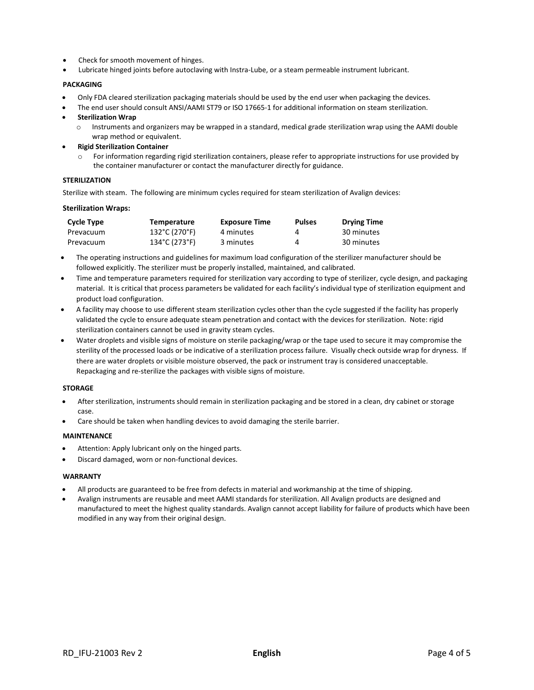- Check for smooth movement of hinges.
- Lubricate hinged joints before autoclaving with Instra-Lube, or a steam permeable instrument lubricant.

#### PACKAGING

- Only FDA cleared sterilization packaging materials should be used by the end user when packaging the devices.
- The end user should consult ANSI/AAMI ST79 or ISO 17665-1 for additional information on steam sterilization.
- Sterilization Wrap
	- $\circ$  Instruments and organizers may be wrapped in a standard, medical grade sterilization wrap using the AAMI double wrap method or equivalent.
- Rigid Sterilization Container
	- For information regarding rigid sterilization containers, please refer to appropriate instructions for use provided by the container manufacturer or contact the manufacturer directly for guidance.

## STERILIZATION

Sterilize with steam. The following are minimum cycles required for steam sterilization of Avalign devices:

#### Sterilization Wraps:

| Cycle Type | <b>Temperature</b> | <b>Exposure Time</b> | <b>Pulses</b> | <b>Drying Time</b> |
|------------|--------------------|----------------------|---------------|--------------------|
| Prevacuum  | 132°C (270°F)      | 4 minutes            | 4             | 30 minutes         |
| Prevacuum  | 134°C (273°F)      | 3 minutes            | 4             | 30 minutes         |

- The operating instructions and guidelines for maximum load configuration of the sterilizer manufacturer should be followed explicitly. The sterilizer must be properly installed, maintained, and calibrated.
- Time and temperature parameters required for sterilization vary according to type of sterilizer, cycle design, and packaging material. It is critical that process parameters be validated for each facility's individual type of sterilization equipment and product load configuration.
- A facility may choose to use different steam sterilization cycles other than the cycle suggested if the facility has properly validated the cycle to ensure adequate steam penetration and contact with the devices for sterilization. Note: rigid sterilization containers cannot be used in gravity steam cycles.
- Water droplets and visible signs of moisture on sterile packaging/wrap or the tape used to secure it may compromise the sterility of the processed loads or be indicative of a sterilization process failure. Visually check outside wrap for dryness. If there are water droplets or visible moisture observed, the pack or instrument tray is considered unacceptable. Repackaging and re-sterilize the packages with visible signs of moisture.

#### STORAGE

- After sterilization, instruments should remain in sterilization packaging and be stored in a clean, dry cabinet or storage case.
- Care should be taken when handling devices to avoid damaging the sterile barrier.

#### MAINTENANCE

- Attention: Apply lubricant only on the hinged parts.
- Discard damaged, worn or non-functional devices.

#### WARRANTY

- All products are guaranteed to be free from defects in material and workmanship at the time of shipping.
- Avalign instruments are reusable and meet AAMI standards for sterilization. All Avalign products are designed and manufactured to meet the highest quality standards. Avalign cannot accept liability for failure of products which have been modified in any way from their original design.